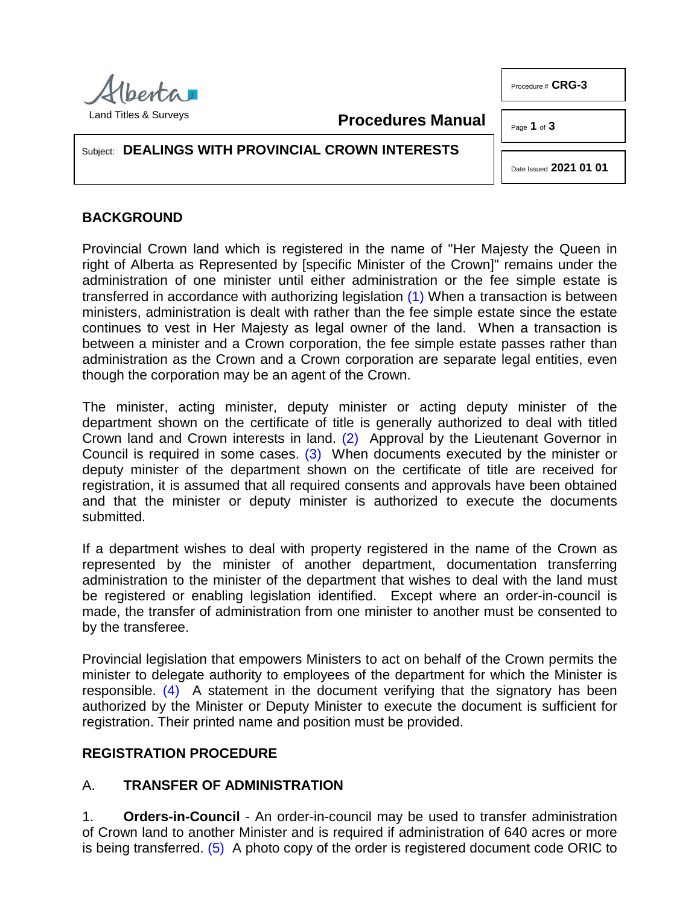

Procedure # **CRG-3**

**Procedures Manual**

Page **1** of **3**

Subject: **DEALINGS WITH PROVINCIAL CROWN INTERESTS**

<span id="page-0-0"></span>Date Issued **2021 01 01**

# **BACKGROUND**

Provincial Crown land which is registered in the name of "Her Majesty the Queen in right of Alberta as Represented by [specific Minister of the Crown]" remains under the administration of one minister until either administration or the fee simple estate is transferred in accordance with authorizing legislation [\(1\)](#page-2-0) When a transaction is between ministers, administration is dealt with rather than the fee simple estate since the estate continues to vest in Her Majesty as legal owner of the land. When a transaction is between a minister and a Crown corporation, the fee simple estate passes rather than administration as the Crown and a Crown corporation are separate legal entities, even though the corporation may be an agent of the Crown.

<span id="page-0-2"></span><span id="page-0-1"></span>The minister, acting minister, deputy minister or acting deputy minister of the department shown on the certificate of title is generally authorized to deal with titled Crown land and Crown interests in land. [\(2\)](#page-2-1) Approval by the Lieutenant Governor in Council is required in some cases. [\(3\)](#page-2-2) When documents executed by the minister or deputy minister of the department shown on the certificate of title are received for registration, it is assumed that all required consents and approvals have been obtained and that the minister or deputy minister is authorized to execute the documents submitted.

If a department wishes to deal with property registered in the name of the Crown as represented by the minister of another department, documentation transferring administration to the minister of the department that wishes to deal with the land must be registered or enabling legislation identified. Except where an order-in-council is made, the transfer of administration from one minister to another must be consented to by the transferee.

<span id="page-0-3"></span>Provincial legislation that empowers Ministers to act on behalf of the Crown permits the minister to delegate authority to employees of the department for which the Minister is responsible. [\(4\)](#page-2-3) A statement in the document verifying that the signatory has been authorized by the Minister or Deputy Minister to execute the document is sufficient for registration. Their printed name and position must be provided.

# **REGISTRATION PROCEDURE**

# A. **TRANSFER OF ADMINISTRATION**

<span id="page-0-4"></span>1. **Orders-in-Council** - An order-in-council may be used to transfer administration of Crown land to another Minister and is required if administration of 640 acres or more is being transferred. [\(5\)](#page-2-4) A photo copy of the order is registered document code ORIC to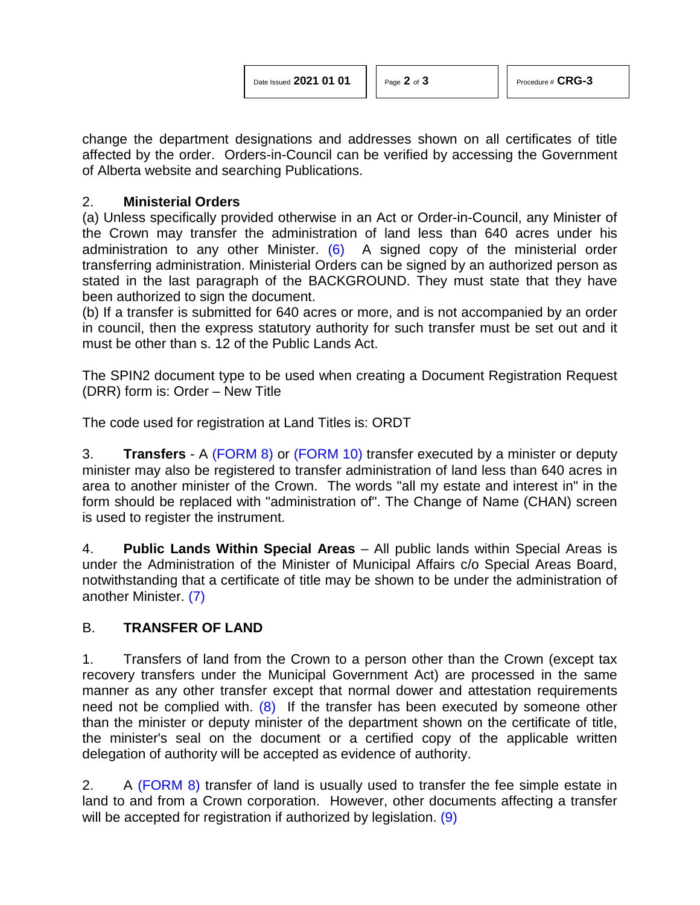change the department designations and addresses shown on all certificates of title affected by the order. Orders-in-Council can be verified by accessing the Government of Alberta website and searching Publications.

## 2. **Ministerial Orders**

<span id="page-1-0"></span>(a) Unless specifically provided otherwise in an Act or Order-in-Council, any Minister of the Crown may transfer the administration of land less than 640 acres under his administration to any other Minister.  $(6)$  A signed copy of the ministerial order transferring administration. Ministerial Orders can be signed by an authorized person as stated in the last paragraph of the BACKGROUND. They must state that they have been authorized to sign the document.

(b) If a transfer is submitted for 640 acres or more, and is not accompanied by an order in council, then the express statutory authority for such transfer must be set out and it must be other than s. 12 of the Public Lands Act.

The SPIN2 document type to be used when creating a Document Registration Request (DRR) form is: Order – New Title

The code used for registration at Land Titles is: ORDT

3. **Transfers** - A [\(FORM 8\)](http://www.servicealberta.ca/pdf/ltmanual/FORM8.pdf) or [\(FORM 10\)](http://www.servicealberta.ca/pdf/ltmanual/FORM10.pdf) transfer executed by a minister or deputy minister may also be registered to transfer administration of land less than 640 acres in area to another minister of the Crown. The words "all my estate and interest in" in the form should be replaced with "administration of". The Change of Name (CHAN) screen is used to register the instrument.

4. **Public Lands Within Special Areas** – All public lands within Special Areas is under the Administration of the Minister of Municipal Affairs c/o Special Areas Board, notwithstanding that a certificate of title may be shown to be under the administration of another Minister. [\(7\)](#page-2-6)

## <span id="page-1-1"></span>B. **TRANSFER OF LAND**

<span id="page-1-2"></span>1. Transfers of land from the Crown to a person other than the Crown (except tax recovery transfers under the Municipal Government Act) are processed in the same manner as any other transfer except that normal dower and attestation requirements need not be complied with.  $(8)$  If the transfer has been executed by someone other than the minister or deputy minister of the department shown on the certificate of title, the minister's seal on the document or a certified copy of the applicable written delegation of authority will be accepted as evidence of authority.

<span id="page-1-3"></span>2. A [\(FORM 8\)](http://www.servicealberta.ca/pdf/ltmanual/FORM8.pdf) transfer of land is usually used to transfer the fee simple estate in land to and from a Crown corporation. However, other documents affecting a transfer will be accepted for registration if authorized by legislation. [\(9\)](#page-2-8)